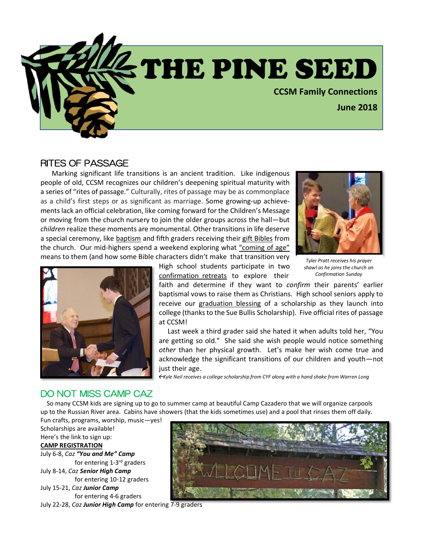

#### RITES OF PASSAGE

Marking significant life transitions is an ancient tradition. Like indigenous people of old, CCSM recognizes our children's deepening spiritual maturity with a series of "rites of passage." Culturally, rites of passage may be as commonplace as a child's first steps or as significant as marriage. Some growing-up achievements lack an official celebration, like coming forward for the Children's Message or moving from the church nursery to join the older groups across the hall—but *children* realize these moments are monumental. Other transitions in life deserve a special ceremony, like baptism and fifth graders receiving their gift Bibles from the church. Our mid-highers spend a weekend exploring what "coming of age" means to them (and how some Bible characters didn't make that transition very





High school students participate in two confirmation retreats to explore their

*Tyler Pratt receives his prayer shawl as he joins the church on Confirmation Sunday*

faith and determine if they want to *confirm* their parents' earlier baptismal vows to raise them as Christians. High school seniors apply to receive our graduation blessing of a scholarship as they launch into college (thanks to the Sue Bullis Scholarship). Five official rites of passage at CCSM!

 Last week a third grader said she hated it when adults told her, "You are getting so old." She said she wish people would notice something *other* than her physical growth. Let's make her wish come true and acknowledge the significant transitions of our children and youth—not just their age.

*Kyle Neil receives a college scholarship from CYF along with a hand shake from Warren Long*

#### DO NOT MISS CAMP CAZ

 So many CCSM kids are signing up to go to summer camp at beautiful Camp Cazadero that we will organize carpools up to the Russian River area. Cabins have showers (that the kids sometimes use) and a pool that rinses them off daily.

Fun crafts, programs, worship, music—yes! Scholarships are available! Here's the link to sign up: **[CAMP REGISTRATION](https://ncncucc.org/yomcreg/)** July 6-8, *Caz "You and Me" Camp* for entering 1-3<sup>rd</sup> graders July 8-14, *Caz Senior High Camp* for entering 10-12 graders

July 15-21, *Caz Junior Camp* for entering 4-6 graders

July 22-28, *Caz Junior High Camp* for entering 7-9 graders